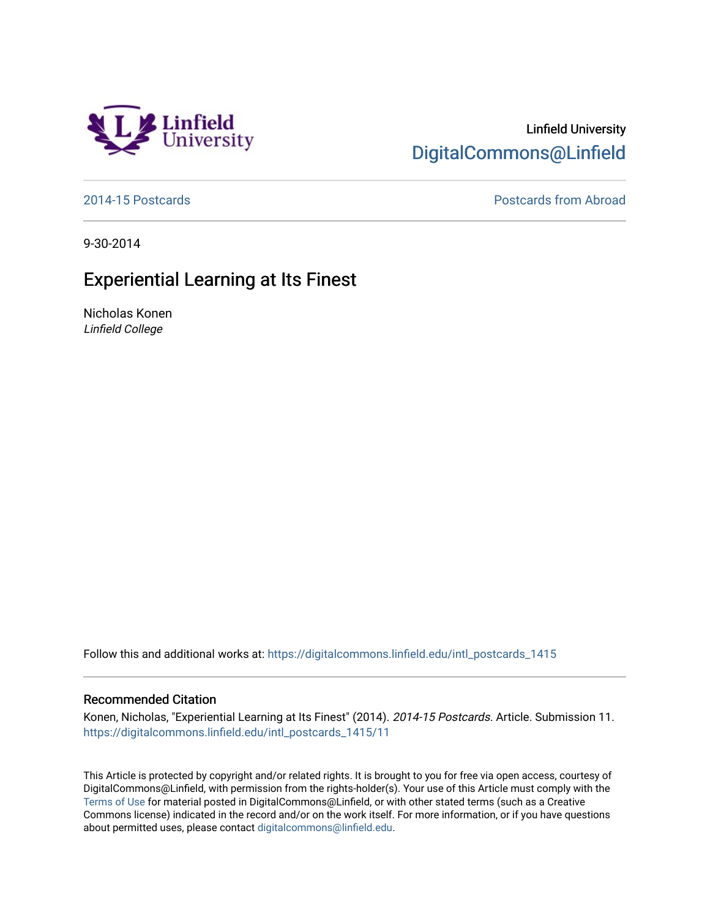

[2014-15 Postcards](https://digitalcommons.linfield.edu/intl_postcards_1415) [Postcards from Abroad](https://digitalcommons.linfield.edu/intl_postcards_comm) 

9-30-2014

## Experiential Learning at Its Finest

Linfield<br>University

Nicholas Konen Linfield College

Follow this and additional works at: [https://digitalcommons.linfield.edu/intl\\_postcards\\_1415](https://digitalcommons.linfield.edu/intl_postcards_1415?utm_source=digitalcommons.linfield.edu%2Fintl_postcards_1415%2F11&utm_medium=PDF&utm_campaign=PDFCoverPages)

## Recommended Citation

Konen, Nicholas, "Experiential Learning at Its Finest" (2014). 2014-15 Postcards. Article. Submission 11. [https://digitalcommons.linfield.edu/intl\\_postcards\\_1415/11](https://digitalcommons.linfield.edu/intl_postcards_1415/11) 

This Article is protected by copyright and/or related rights. It is brought to you for free via open access, courtesy of DigitalCommons@Linfield, with permission from the rights-holder(s). Your use of this Article must comply with the [Terms of Use](https://digitalcommons.linfield.edu/terms_of_use.html) for material posted in DigitalCommons@Linfield, or with other stated terms (such as a Creative Commons license) indicated in the record and/or on the work itself. For more information, or if you have questions about permitted uses, please contact [digitalcommons@linfield.edu.](mailto:digitalcommons@linfield.edu)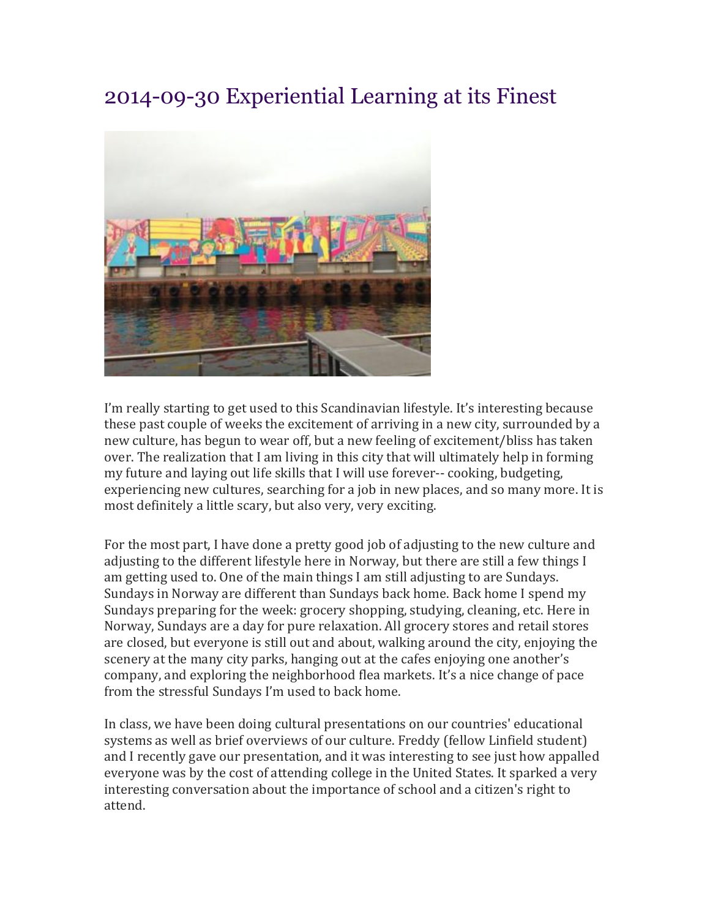## 2014-09-30 Experiential Learning at its Finest



I'm really starting to get used to this Scandinavian lifestyle. It's interesting because these past couple of weeks the excitement of arriving in a new city, surrounded by a new culture, has begun to wear off, but a new feeling of excitement/bliss has taken over. The realization that I am living in this city that will ultimately help in forming my future and laying out life skills that I will use forever-- cooking, budgeting, experiencing new cultures, searching for a job in new places, and so many more. It is most definitely a little scary, but also very, very exciting.

For the most part, I have done a pretty good job of adjusting to the new culture and adjusting to the different lifestyle here in Norway, but there are still a few things I am getting used to. One of the main things I am still adjusting to are Sundays. Sundays in Norway are different than Sundays back home. Back home I spend my Sundays preparing for the week: grocery shopping, studying, cleaning, etc. Here in Norway, Sundays are a day for pure relaxation. All grocery stores and retail stores are closed, but everyone is still out and about, walking around the city, enjoying the scenery at the many city parks, hanging out at the cafes enjoying one another's company, and exploring the neighborhood flea markets. It's a nice change of pace from the stressful Sundays I'm used to back home.

In class, we have been doing cultural presentations on our countries' educational systems as well as brief overviews of our culture. Freddy (fellow Linfield student) and I recently gave our presentation, and it was interesting to see just how appalled everyone was by the cost of attending college in the United States. It sparked a very interesting conversation about the importance of school and a citizen's right to attend.